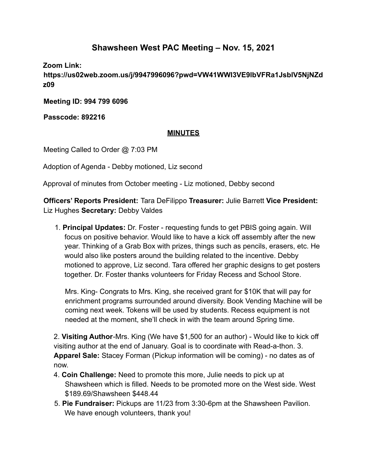## **Shawsheen West PAC Meeting – Nov. 15, 2021**

**Zoom Link:**

**https://us02web.zoom.us/j/9947996096?pwd=VW41WWI3VE9lbVFRa1JsblV5NjNZd z09**

**Meeting ID: 994 799 6096**

**Passcode: 892216**

## **MINUTES**

Meeting Called to Order @ 7:03 PM

Adoption of Agenda - Debby motioned, Liz second

Approval of minutes from October meeting - Liz motioned, Debby second

**Officers' Reports President:** Tara DeFilippo **Treasurer:** Julie Barrett **Vice President:** Liz Hughes **Secretary:** Debby Valdes

1. **Principal Updates:** Dr. Foster - requesting funds to get PBIS going again. Will focus on positive behavior. Would like to have a kick off assembly after the new year. Thinking of a Grab Box with prizes, things such as pencils, erasers, etc. He would also like posters around the building related to the incentive. Debby motioned to approve, Liz second. Tara offered her graphic designs to get posters together. Dr. Foster thanks volunteers for Friday Recess and School Store.

Mrs. King- Congrats to Mrs. King, she received grant for \$10K that will pay for enrichment programs surrounded around diversity. Book Vending Machine will be coming next week. Tokens will be used by students. Recess equipment is not needed at the moment, she'll check in with the team around Spring time.

2. **Visiting Author**-Mrs. King (We have \$1,500 for an author) - Would like to kick off visiting author at the end of January. Goal is to coordinate with Read-a-thon. 3. **Apparel Sale:** Stacey Forman (Pickup information will be coming) - no dates as of now.

- 4. **Coin Challenge:** Need to promote this more, Julie needs to pick up at Shawsheen which is filled. Needs to be promoted more on the West side. West \$189.69/Shawsheen \$448.44
- 5. **Pie Fundraiser:** Pickups are 11/23 from 3:30-6pm at the Shawsheen Pavilion. We have enough volunteers, thank you!